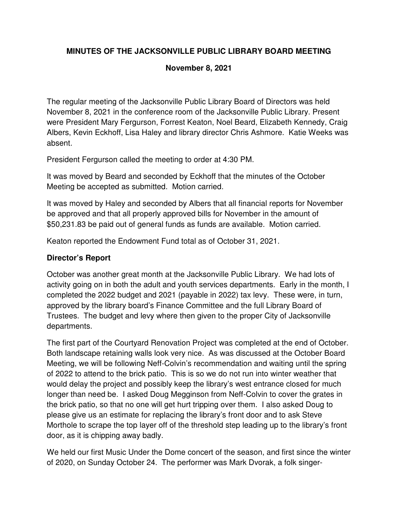# **MINUTES OF THE JACKSONVILLE PUBLIC LIBRARY BOARD MEETING**

#### **November 8, 2021**

The regular meeting of the Jacksonville Public Library Board of Directors was held November 8, 2021 in the conference room of the Jacksonville Public Library. Present were President Mary Fergurson, Forrest Keaton, Noel Beard, Elizabeth Kennedy, Craig Albers, Kevin Eckhoff, Lisa Haley and library director Chris Ashmore. Katie Weeks was absent.

President Fergurson called the meeting to order at 4:30 PM.

It was moved by Beard and seconded by Eckhoff that the minutes of the October Meeting be accepted as submitted. Motion carried.

It was moved by Haley and seconded by Albers that all financial reports for November be approved and that all properly approved bills for November in the amount of \$50,231.83 be paid out of general funds as funds are available. Motion carried.

Keaton reported the Endowment Fund total as of October 31, 2021.

#### **Director's Report**

October was another great month at the Jacksonville Public Library. We had lots of activity going on in both the adult and youth services departments. Early in the month, I completed the 2022 budget and 2021 (payable in 2022) tax levy. These were, in turn, approved by the library board's Finance Committee and the full Library Board of Trustees. The budget and levy where then given to the proper City of Jacksonville departments.

The first part of the Courtyard Renovation Project was completed at the end of October. Both landscape retaining walls look very nice. As was discussed at the October Board Meeting, we will be following Neff-Colvin's recommendation and waiting until the spring of 2022 to attend to the brick patio. This is so we do not run into winter weather that would delay the project and possibly keep the library's west entrance closed for much longer than need be. I asked Doug Megginson from Neff-Colvin to cover the grates in the brick patio, so that no one will get hurt tripping over them. I also asked Doug to please give us an estimate for replacing the library's front door and to ask Steve Morthole to scrape the top layer off of the threshold step leading up to the library's front door, as it is chipping away badly.

We held our first Music Under the Dome concert of the season, and first since the winter of 2020, on Sunday October 24. The performer was Mark Dvorak, a folk singer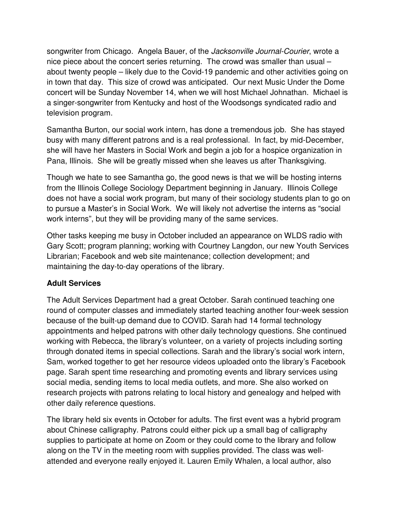songwriter from Chicago. Angela Bauer, of the Jacksonville Journal-Courier, wrote a nice piece about the concert series returning. The crowd was smaller than usual – about twenty people – likely due to the Covid-19 pandemic and other activities going on in town that day. This size of crowd was anticipated. Our next Music Under the Dome concert will be Sunday November 14, when we will host Michael Johnathan. Michael is a singer-songwriter from Kentucky and host of the Woodsongs syndicated radio and television program.

Samantha Burton, our social work intern, has done a tremendous job. She has stayed busy with many different patrons and is a real professional. In fact, by mid-December, she will have her Masters in Social Work and begin a job for a hospice organization in Pana, Illinois. She will be greatly missed when she leaves us after Thanksgiving.

Though we hate to see Samantha go, the good news is that we will be hosting interns from the Illinois College Sociology Department beginning in January. Illinois College does not have a social work program, but many of their sociology students plan to go on to pursue a Master's in Social Work. We will likely not advertise the interns as "social work interns", but they will be providing many of the same services.

Other tasks keeping me busy in October included an appearance on WLDS radio with Gary Scott; program planning; working with Courtney Langdon, our new Youth Services Librarian; Facebook and web site maintenance; collection development; and maintaining the day-to-day operations of the library.

#### **Adult Services**

The Adult Services Department had a great October. Sarah continued teaching one round of computer classes and immediately started teaching another four-week session because of the built-up demand due to COVID. Sarah had 14 formal technology appointments and helped patrons with other daily technology questions. She continued working with Rebecca, the library's volunteer, on a variety of projects including sorting through donated items in special collections. Sarah and the library's social work intern, Sam, worked together to get her resource videos uploaded onto the library's Facebook page. Sarah spent time researching and promoting events and library services using social media, sending items to local media outlets, and more. She also worked on research projects with patrons relating to local history and genealogy and helped with other daily reference questions.

The library held six events in October for adults. The first event was a hybrid program about Chinese calligraphy. Patrons could either pick up a small bag of calligraphy supplies to participate at home on Zoom or they could come to the library and follow along on the TV in the meeting room with supplies provided. The class was wellattended and everyone really enjoyed it. Lauren Emily Whalen, a local author, also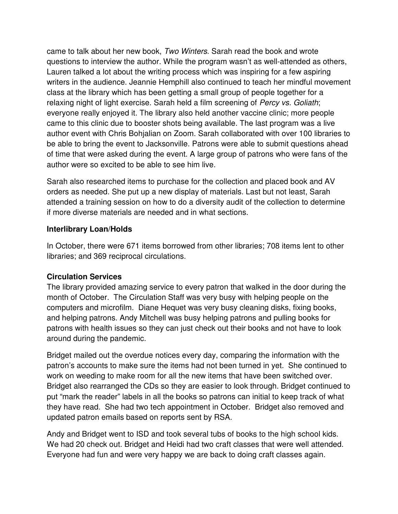came to talk about her new book, Two Winters. Sarah read the book and wrote questions to interview the author. While the program wasn't as well-attended as others, Lauren talked a lot about the writing process which was inspiring for a few aspiring writers in the audience. Jeannie Hemphill also continued to teach her mindful movement class at the library which has been getting a small group of people together for a relaxing night of light exercise. Sarah held a film screening of Percy vs. Goliath; everyone really enjoyed it. The library also held another vaccine clinic; more people came to this clinic due to booster shots being available. The last program was a live author event with Chris Bohjalian on Zoom. Sarah collaborated with over 100 libraries to be able to bring the event to Jacksonville. Patrons were able to submit questions ahead of time that were asked during the event. A large group of patrons who were fans of the author were so excited to be able to see him live.

Sarah also researched items to purchase for the collection and placed book and AV orders as needed. She put up a new display of materials. Last but not least, Sarah attended a training session on how to do a diversity audit of the collection to determine if more diverse materials are needed and in what sections.

#### **Interlibrary Loan/Holds**

In October, there were 671 items borrowed from other libraries; 708 items lent to other libraries; and 369 reciprocal circulations.

#### **Circulation Services**

The library provided amazing service to every patron that walked in the door during the month of October. The Circulation Staff was very busy with helping people on the computers and microfilm. Diane Hequet was very busy cleaning disks, fixing books, and helping patrons. Andy Mitchell was busy helping patrons and pulling books for patrons with health issues so they can just check out their books and not have to look around during the pandemic.

Bridget mailed out the overdue notices every day, comparing the information with the patron's accounts to make sure the items had not been turned in yet. She continued to work on weeding to make room for all the new items that have been switched over. Bridget also rearranged the CDs so they are easier to look through. Bridget continued to put "mark the reader" labels in all the books so patrons can initial to keep track of what they have read. She had two tech appointment in October. Bridget also removed and updated patron emails based on reports sent by RSA.

Andy and Bridget went to ISD and took several tubs of books to the high school kids. We had 20 check out. Bridget and Heidi had two craft classes that were well attended. Everyone had fun and were very happy we are back to doing craft classes again.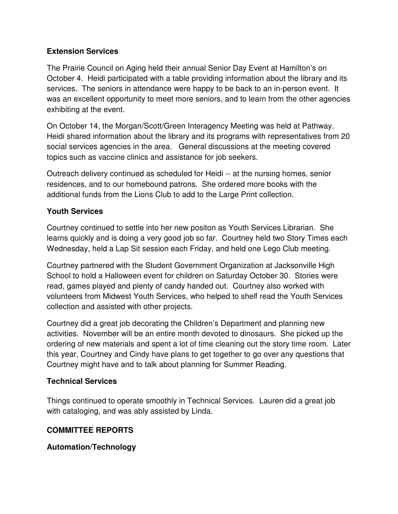#### **Extension Services**

The Prairie Council on Aging held their annual Senior Day Event at Hamilton's on October 4. Heidi participated with a table providing information about the library and its services. The seniors in attendance were happy to be back to an in-person event. It was an excellent opportunity to meet more seniors, and to learn from the other agencies exhibiting at the event.

On October 14, the Morgan/Scott/Green Interagency Meeting was held at Pathway. Heidi shared information about the library and its programs with representatives from 20 social services agencies in the area. General discussions at the meeting covered topics such as vaccine clinics and assistance for job seekers.

Outreach delivery continued as scheduled for Heidi -- at the nursing homes, senior residences, and to our homebound patrons. She ordered more books with the additional funds from the Lions Club to add to the Large Print collection.

#### **Youth Services**

Courtney continued to settle into her new positon as Youth Services Librarian. She learns quickly and is doing a very good job so far. Courtney held two Story Times each Wednesday, held a Lap Sit session each Friday, and held one Lego Club meeting.

Courtney partnered with the Student Government Organization at Jacksonville High School to hold a Halloween event for children on Saturday October 30. Stories were read, games played and plenty of candy handed out. Courtney also worked with volunteers from Midwest Youth Services, who helped to shelf read the Youth Services collection and assisted with other projects.

Courtney did a great job decorating the Children's Department and planning new activities. November will be an entire month devoted to dinosaurs. She picked up the ordering of new materials and spent a lot of time cleaning out the story time room. Later this year, Courtney and Cindy have plans to get together to go over any questions that Courtney might have and to talk about planning for Summer Reading.

# **Technical Services**

Things continued to operate smoothly in Technical Services. Lauren did a great job with cataloging, and was ably assisted by Linda.

# **COMMITTEE REPORTS**

# **Automation/Technology**